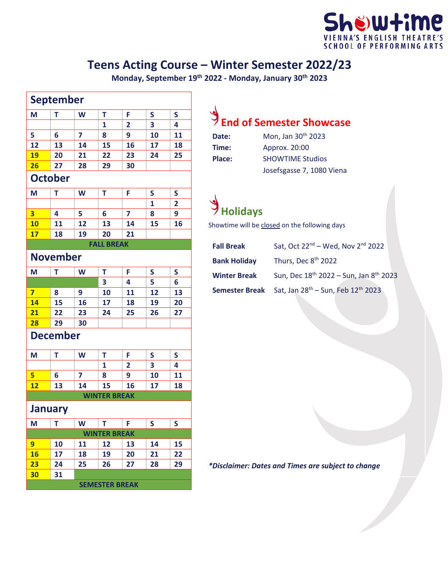#### howtime **SENGLISH SCHOOL OF PERFORMING ARTS**

#### **Teens Acting Course – Winter Semester 2022/23**

**Monday, September 19th 2022 - Monday, January 30th 2023**

| <b>September</b> |    |    |                       |                |    |    |
|------------------|----|----|-----------------------|----------------|----|----|
| M                | T  | W  | T                     | F              | S  | S  |
|                  |    |    | 1                     | 2              | 3  | 4  |
| 5                | 6  | 7  | 8                     | 9              | 10 | 11 |
| 12               | 13 | 14 | 15                    | 16             | 17 | 18 |
| 19               | 20 | 21 | 22                    | 23             | 24 | 25 |
| 26               | 27 | 28 | 29                    | 30             |    |    |
| <b>October</b>   |    |    |                       |                |    |    |
| M                | T  | W  | T                     | F              | S  | S  |
|                  |    |    |                       |                | 1  | 2  |
| 3                | 4  | 5  | 6                     | 7              | 8  | 9  |
| <b>10</b>        | 11 | 12 | 13                    | 14             | 15 | 16 |
| 17               | 18 | 19 | 20                    | 21             |    |    |
|                  |    |    | <b>FALL BREAK</b>     |                |    |    |
| <b>November</b>  |    |    |                       |                |    |    |
| M                | T  | W  | T                     | F              | S  | S  |
|                  |    |    | 3                     | 4              | 5  | 6  |
| 7                | 8  | 9  | 10                    | 11             | 12 | 13 |
| 14               | 15 | 16 | 17                    | 18             | 19 | 20 |
| 21               | 22 | 23 | 24                    | 25             | 26 | 27 |
| 28               | 29 | 30 |                       |                |    |    |
| <b>December</b>  |    |    |                       |                |    |    |
| M                | Т  | W  | T                     | F              | S  | S  |
|                  |    |    | 1                     | $\overline{2}$ | 3  | 4  |
| 5                | 6  | 7  | 8                     | 9              | 10 | 11 |
| 12               | 13 | 14 | 15                    | 16             | 17 | 18 |
|                  |    |    | <b>WINTER BREAK</b>   |                |    |    |
| <b>January</b>   |    |    |                       |                |    |    |
| M                | T  | W  | T                     | F              | S  | S  |
|                  |    |    | <b>WINTER BREAK</b>   |                |    |    |
| 9                | 10 | 11 | 12                    | 13             | 14 | 15 |
| <b>16</b>        | 17 | 18 | 19                    | 20             | 21 | 22 |
| 23               | 24 | 25 | 26                    | 27             | 28 | 29 |
| 30               | 31 |    |                       |                |    |    |
|                  |    |    | <b>SEMESTER BREAK</b> |                |    |    |

# **End of Semester Showcase**

| Date:  | Mon, Jan 30 <sup>th</sup> 2023 |
|--------|--------------------------------|
| Time:  | Approx. 20:00                  |
| Place: | <b>SHOWTIME Studios</b>        |
|        | Josefsgasse 7, 1080 Viena      |

## **Holidays**

Showtime will be closed on the following days

| <b>Fall Break</b>   | Sat, Oct 22 <sup>nd</sup> – Wed, Nov 2 <sup>nd</sup> 2022                 |
|---------------------|---------------------------------------------------------------------------|
| <b>Bank Holiday</b> | Thurs, Dec 8 <sup>th</sup> 2022                                           |
| <b>Winter Break</b> | Sun, Dec 18 <sup>th</sup> 2022 - Sun, Jan 8 <sup>th</sup> 2023            |
|                     | Semester Break Sat, Jan 28 <sup>th</sup> – Sun, Feb 12 <sup>th</sup> 2023 |

*\*Disclaimer: Dates and Times are subject to change*